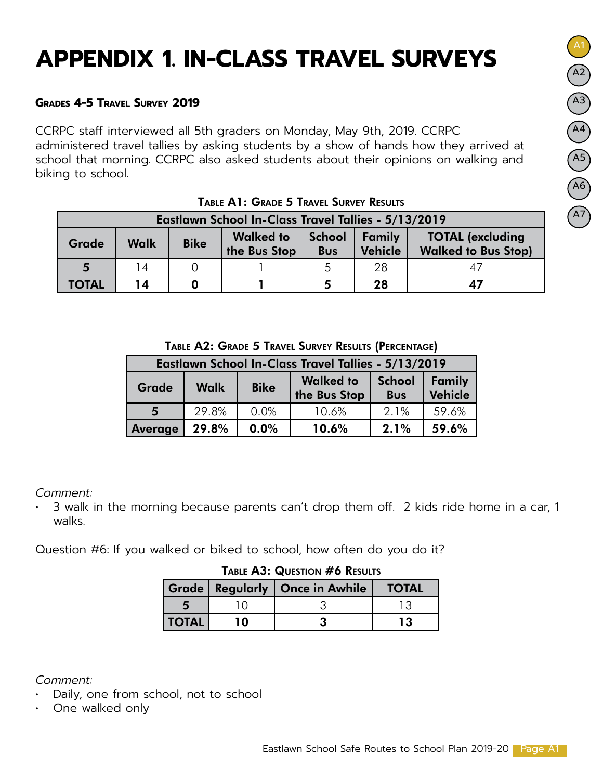### **Grades 4-5 Travel Survey 2019**

CCRPC staff interviewed all 5th graders on Monday, May 9th, 2019. CCRPC administered travel tallies by asking students by a show of hands how they arrived at school that morning. CCRPC also asked students about their opinions on walking and biking to school.

| Eastlawn School In-Class Travel Tallies - 5/13/2019 |             |                                                                                                                                        |  |   |    |                            |
|-----------------------------------------------------|-------------|----------------------------------------------------------------------------------------------------------------------------------------|--|---|----|----------------------------|
| Grade                                               | <b>Walk</b> | <b>School</b><br>Family<br><b>Walked to</b><br><b>TOTAL (excluding)</b><br><b>Bike</b><br>the Bus Stop<br><b>Vehicle</b><br><b>Bus</b> |  |   |    | <b>Walked to Bus Stop)</b> |
| 5                                                   | 14          |                                                                                                                                        |  | 5 | 28 |                            |
| <b>TOTAL</b>                                        | 14          |                                                                                                                                        |  |   | 28 | 47                         |

Table A1: Grade 5 Travel Survey Results

| TABLE A2: GRADE 5 TRAVEL SURVEY RESULTS (PERCENTAGE) |
|------------------------------------------------------|
|------------------------------------------------------|

| Eastlawn School In-Class Travel Tallies - 5/13/2019 |             |             |                                  |                             |                   |  |  |
|-----------------------------------------------------|-------------|-------------|----------------------------------|-----------------------------|-------------------|--|--|
| Grade                                               | <b>Walk</b> | <b>Bike</b> | <b>Walked to</b><br>the Bus Stop | <b>School</b><br><b>Bus</b> | Family<br>Vehicle |  |  |
| 5                                                   | 29.8%       | 0.0%        | 10.6%                            | 2.1%                        | 59.6%             |  |  |
| <b>Average</b>                                      | 29.8%       | 0.0%        | 10.6%                            | 2.1%                        | 59.6%             |  |  |

*Comment:*

• 3 walk in the morning because parents can't drop them off. 2 kids ride home in a car, 1 walks.

Question #6: If you walked or biked to school, how often do you do it?

| TABLE A3: QUESTION #6 RESULTS |    |                                    |              |  |
|-------------------------------|----|------------------------------------|--------------|--|
|                               |    | Grade   Regularly   Once in Awhile | <b>TOTAL</b> |  |
| 5                             |    |                                    | ר ו          |  |
| <b>TOTAL</b>                  | 10 |                                    | 13           |  |

*Comment:*

- Daily, one from school, not to school
- One walked only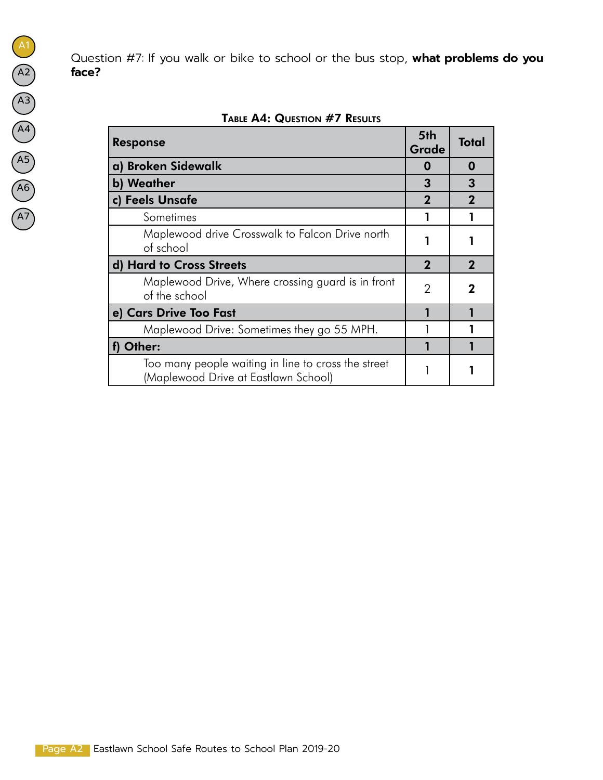Question #7: If you walk or bike to school or the bus stop, **what problems do you face?**

| <b>Response</b>                                                                             | 5th<br>Grade | Total       |
|---------------------------------------------------------------------------------------------|--------------|-------------|
| a) Broken Sidewalk                                                                          | O            | O           |
| b) Weather                                                                                  | 3            | 3           |
| c) Feels Unsafe                                                                             | 2            | 2           |
| Sometimes                                                                                   |              |             |
| Maplewood drive Crosswalk to Falcon Drive north<br>of school                                |              |             |
| d) Hard to Cross Streets                                                                    |              | $\mathbf 2$ |
| Maplewood Drive, Where crossing guard is in front<br>of the school                          | 2            | 2           |
| e) Cars Drive Too Fast                                                                      |              |             |
| Maplewood Drive: Sometimes they go 55 MPH.                                                  |              |             |
| f) Other:                                                                                   |              |             |
| Too many people waiting in line to cross the street<br>(Maplewood Drive at Eastlawn School) |              |             |

|  | TABLE A4: QUESTION #7 RESULTS |  |  |
|--|-------------------------------|--|--|
|--|-------------------------------|--|--|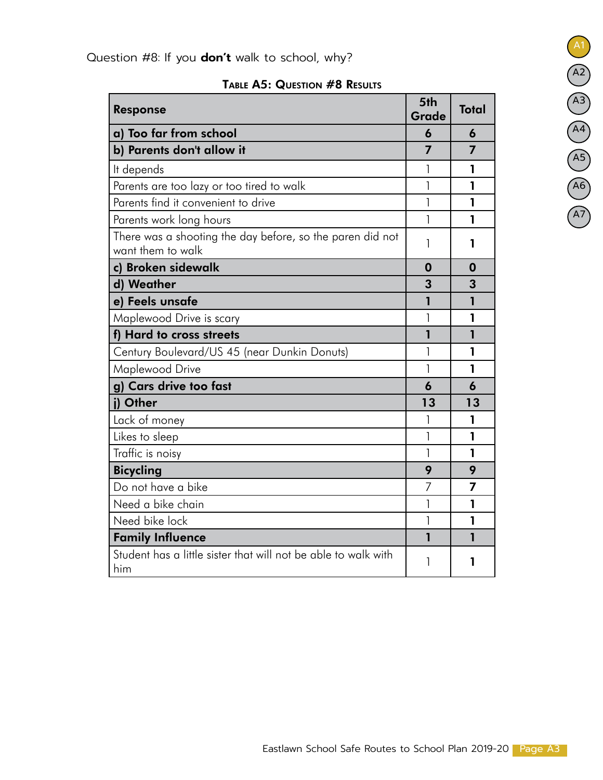Question #8: If you **don't** walk to school, why?

| <b>Response</b>                                                                | 5th<br>Grade | <b>Total</b> |
|--------------------------------------------------------------------------------|--------------|--------------|
| a) Too far from school                                                         | 6            | 6            |
| b) Parents don't allow it                                                      | 7            | 7            |
| It depends                                                                     | 1            | 1            |
| Parents are too lazy or too tired to walk                                      | 1            | 1            |
| Parents find it convenient to drive                                            | 1            | 1            |
| Parents work long hours                                                        | 1            | 1            |
| There was a shooting the day before, so the paren did not<br>want them to walk | 1            | 1            |
| c) Broken sidewalk                                                             | 0            | 0            |
| d) Weather                                                                     | 3            | 3            |
| e) Feels unsafe                                                                | $\mathbf{1}$ | $\mathbf{1}$ |
| Maplewood Drive is scary                                                       | 1            | 1            |
| f) Hard to cross streets                                                       | 1            | $\mathbf{1}$ |
| Century Boulevard/US 45 (near Dunkin Donuts)                                   | 1            | 1            |
| Maplewood Drive                                                                | 1            | 1            |
| g) Cars drive too fast                                                         | 6            | 6            |
| i) Other                                                                       | 13           | 13           |
| Lack of money                                                                  | 1            | 1            |
| Likes to sleep                                                                 | 1            | 1            |
| Traffic is noisy                                                               | 1            | 1            |
| <b>Bicycling</b>                                                               | 9            | 9            |
| Do not have a bike                                                             | 7            | 7            |
| Need a bike chain                                                              | 1            | 1            |
| Need bike lock                                                                 | 1            | 1            |
| <b>Family Influence</b>                                                        | 1            | 1            |
| Student has a little sister that will not be able to walk with<br>him          | 1            | 1            |

A1 A2 A3 A4 A5 A6 A7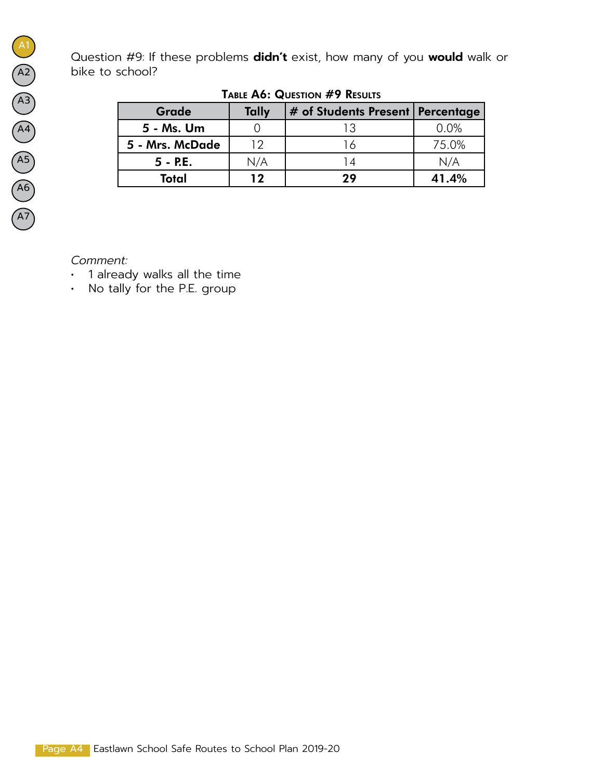Question #9: If these problems **didn't** exist, how many of you **would** walk or bike to school?

| Grade           | <b>Tally</b> | # of Students Present   Percentage |       |
|-----------------|--------------|------------------------------------|-------|
| 5 - Ms. Um      |              | 1 २                                | 0.0%  |
| 5 - Mrs. McDade | 1 つ          | 16                                 | 75.0% |
| $5 - RE.$       | N/A          | 14                                 | N/A   |
| Total           | 12           | 29                                 | 41.4% |

## Table A6: Question #9 Results

*Comment:*

- 1 already walks all the time
- No tally for the P.E. group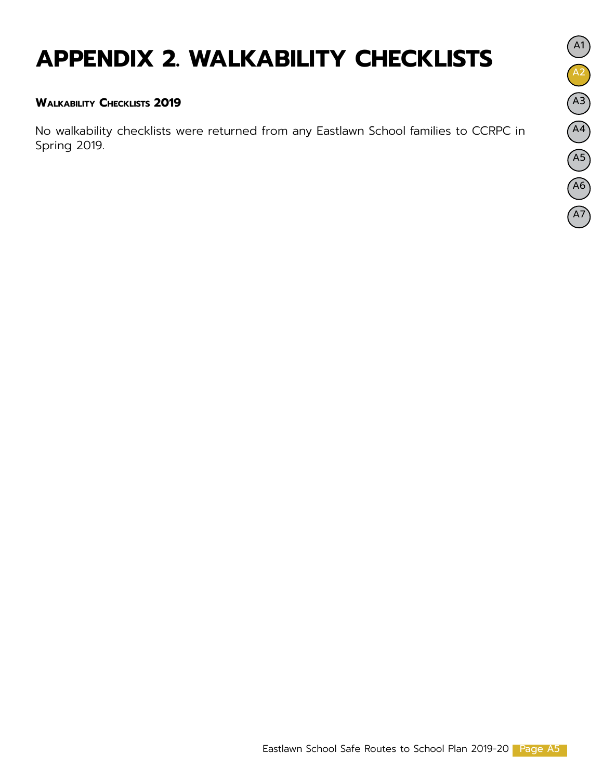## **APPENDIX 2. WALKABILITY CHECKLISTS**

#### **Walkability Checklists 2019**

No walkability checklists were returned from any Eastlawn School families to CCRPC in Spring 2019.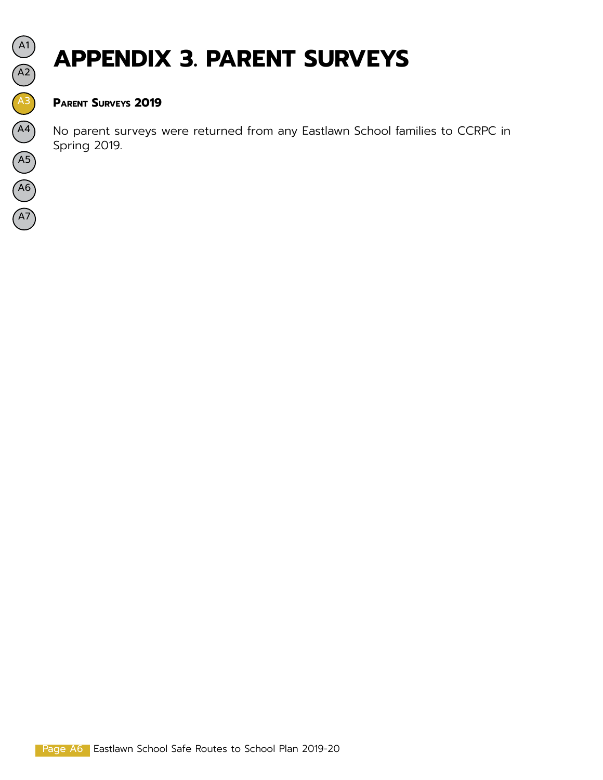

# **APPENDIX 3. PARENT SURVEYS**

## **Parent Surveys 2019**

No parent surveys were returned from any Eastlawn School families to CCRPC in Spring 2019.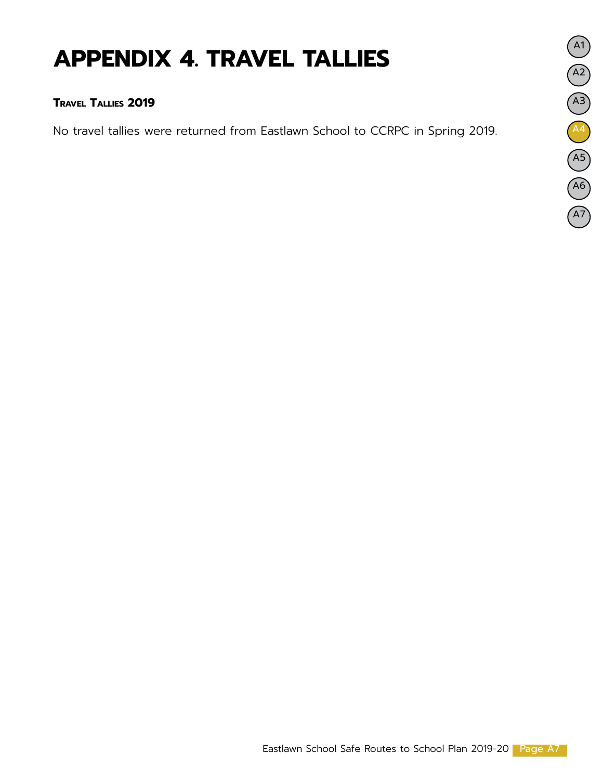## **APPENDIX 4. TRAVEL TALLIES**

## **Travel Tallies 2019**

No travel tallies were returned from Eastlawn School to CCRPC in Spring 2019.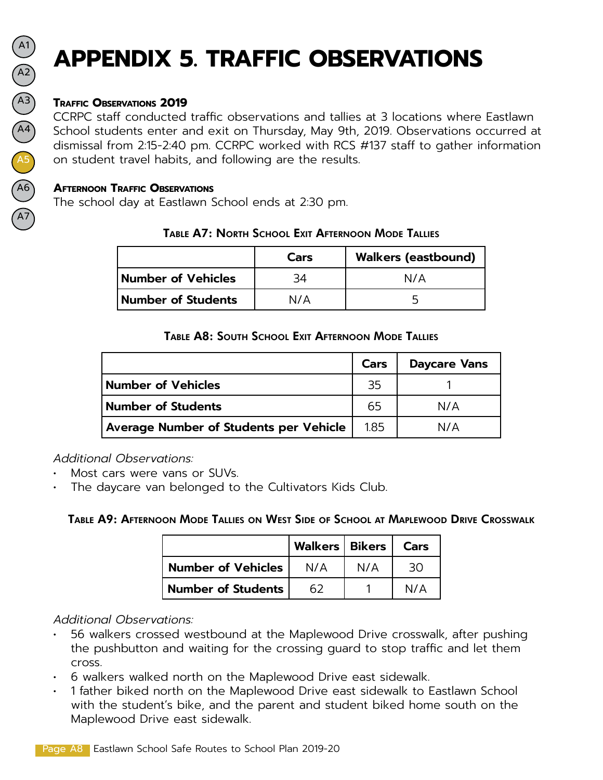## **APPENDIX 5. TRAFFIC OBSERVATIONS**

## **Traffic Observations 2019**

CCRPC staff conducted traffic observations and tallies at 3 locations where Eastlawn School students enter and exit on Thursday, May 9th, 2019. Observations occurred at dismissal from 2:15-2:40 pm. CCRPC worked with RCS #137 staff to gather information on student travel habits, and following are the results.

#### **Afternoon Traffic Observations**

The school day at Eastlawn School ends at 2:30 pm.

| <b>Walkers (eastbound)</b><br>Cars |     |       |  |
|------------------------------------|-----|-------|--|
| Number of Vehicles                 |     | N / A |  |
| Number of Students                 | N/A |       |  |

### Table A7: North School Exit Afternoon Mode Tallies

#### Table A8: South School Exit Afternoon Mode Tallies

|                                               | Cars | <b>Daycare Vans</b> |
|-----------------------------------------------|------|---------------------|
| <b>Number of Vehicles</b>                     | 35   |                     |
| <b>Number of Students</b>                     | 65   | N/A                 |
| <b>Average Number of Students per Vehicle</b> | 1.85 | N/A                 |

#### *Additional Observations:*

- Most cars were vans or SUVs.
- The daycare van belonged to the Cultivators Kids Club.

#### Table A9: Afternoon Mode Tallies on West Side of School at Maplewood Drive Crosswalk

|                           | <b>Walkers   Bikers</b> |     | Cars |
|---------------------------|-------------------------|-----|------|
| Number of Vehicles        | N/A                     | N/A |      |
| <b>Number of Students</b> |                         |     | N/A  |

## *Additional Observations:*

- 56 walkers crossed westbound at the Maplewood Drive crosswalk, after pushing the pushbutton and waiting for the crossing guard to stop traffic and let them cross.
- 6 walkers walked north on the Maplewood Drive east sidewalk.
- 1 father biked north on the Maplewood Drive east sidewalk to Eastlawn School with the student's bike, and the parent and student biked home south on the Maplewood Drive east sidewalk.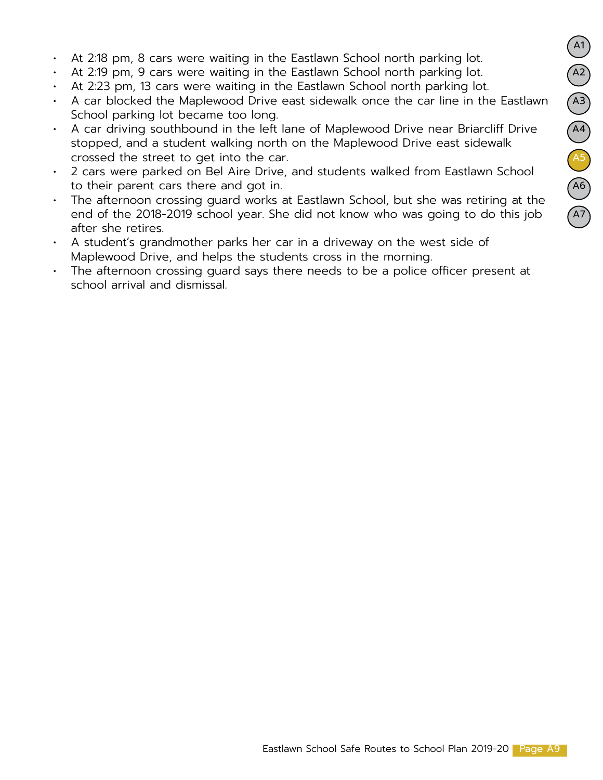- At 2:18 pm, 8 cars were waiting in the Eastlawn School north parking lot.
- At 2:19 pm, 9 cars were waiting in the Eastlawn School north parking lot.
- At 2:23 pm, 13 cars were waiting in the Eastlawn School north parking lot.
- A car blocked the Maplewood Drive east sidewalk once the car line in the Eastlawn School parking lot became too long.
- A car driving southbound in the left lane of Maplewood Drive near Briarcliff Drive stopped, and a student walking north on the Maplewood Drive east sidewalk crossed the street to get into the car.
- 2 cars were parked on Bel Aire Drive, and students walked from Eastlawn School to their parent cars there and got in.
- The afternoon crossing guard works at Eastlawn School, but she was retiring at the end of the 2018-2019 school year. She did not know who was going to do this job after she retires.
- A student's grandmother parks her car in a driveway on the west side of Maplewood Drive, and helps the students cross in the morning.
- The afternoon crossing guard says there needs to be a police officer present at school arrival and dismissal.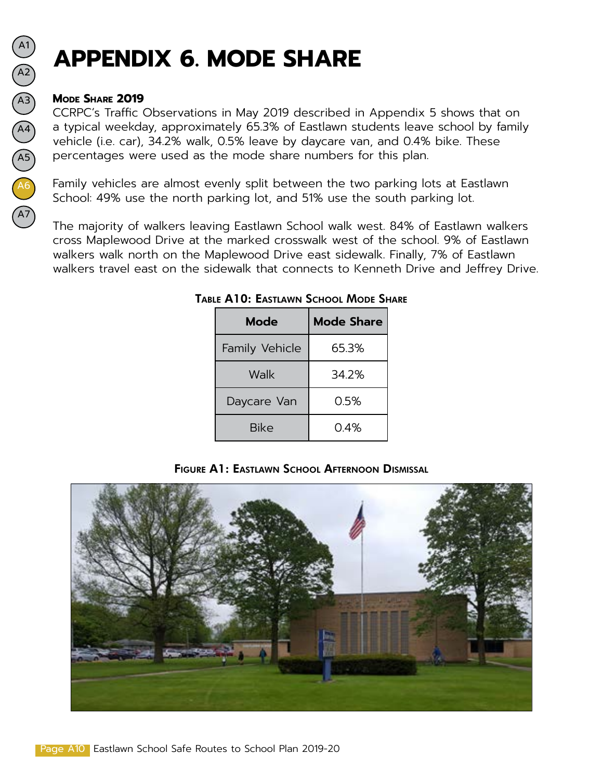## **APPENDIX 6. MODE SHARE**

## **Mode Share 2019**

CCRPC's Traffic Observations in May 2019 described in Appendix 5 shows that on a typical weekday, approximately 65.3% of Eastlawn students leave school by family vehicle (i.e. car), 34.2% walk, 0.5% leave by daycare van, and 0.4% bike. These percentages were used as the mode share numbers for this plan.

Family vehicles are almost evenly split between the two parking lots at Eastlawn School: 49% use the north parking lot, and 51% use the south parking lot.

The majority of walkers leaving Eastlawn School walk west. 84% of Eastlawn walkers cross Maplewood Drive at the marked crosswalk west of the school. 9% of Eastlawn walkers walk north on the Maplewood Drive east sidewalk. Finally, 7% of Eastlawn walkers travel east on the sidewalk that connects to Kenneth Drive and Jeffrey Drive.

| Mode                  | <b>Mode Share</b> |
|-----------------------|-------------------|
| <b>Family Vehicle</b> | 65.3%             |
| Walk                  | 34.2%             |
| Daycare Van           | 0.5%              |
| Bike                  | በ 4%              |

### Table A10: Eastlawn School Mode Share

#### FIGURE A1: EASTLAWN SCHOOL AFTERNOON DISMISSAL

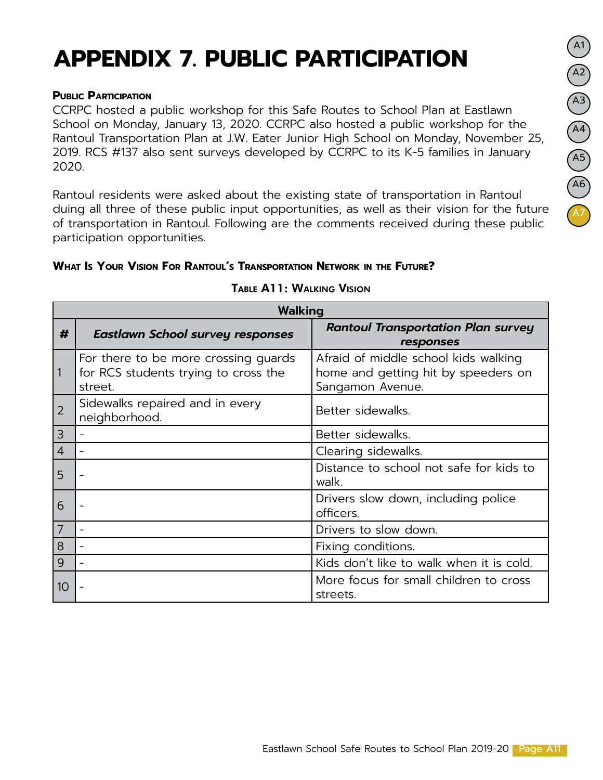## **APPENDIX 7. PUBLIC PARTICIPATION**

### **Public Participation**

CCRPC hosted a public workshop for this Safe Routes to School Plan at Eastlawn School on Monday, January 13, 2020. CCRPC also hosted a public workshop for the Rantoul Transportation Plan at J.W. Eater Junior High School on Monday, November 25, 2019. RCS #137 also sent surveys developed by CCRPC to its K-5 families in January 2020.

Rantoul residents were asked about the existing state of transportation in Rantoul duing all three of these public input opportunities, as well as their vision for the future of transportation in Rantoul. Following are the comments received during these public participation opportunities.

#### **What Is Your Vision For Rantoul's Transportation Network in the Future?**

|                | <b>Walking</b>                                                                          |                                                                                                 |  |
|----------------|-----------------------------------------------------------------------------------------|-------------------------------------------------------------------------------------------------|--|
| #              | <b>Eastlawn School survey responses</b>                                                 | <b>Rantoul Transportation Plan survey</b><br>responses                                          |  |
| $\mathbf{1}$   | For there to be more crossing quards<br>for RCS students trying to cross the<br>street. | Afraid of middle school kids walking<br>home and getting hit by speeders on<br>Sangamon Avenue. |  |
| $\overline{2}$ | Sidewalks repaired and in every<br>neighborhood.                                        | Better sidewalks.                                                                               |  |
| 3              |                                                                                         | Better sidewalks.                                                                               |  |
| $\overline{4}$ |                                                                                         | Clearing sidewalks.                                                                             |  |
| 5              |                                                                                         | Distance to school not safe for kids to<br>walk.                                                |  |
| 6              |                                                                                         | Drivers slow down, including police<br>officers.                                                |  |
| $\overline{7}$ |                                                                                         | Drivers to slow down.                                                                           |  |
| 8              |                                                                                         | Fixing conditions.                                                                              |  |
| $\mathsf{Q}$   |                                                                                         | Kids don't like to walk when it is cold.                                                        |  |
| 10             |                                                                                         | More focus for small children to cross<br>streets.                                              |  |

### Table A11: Walking Vision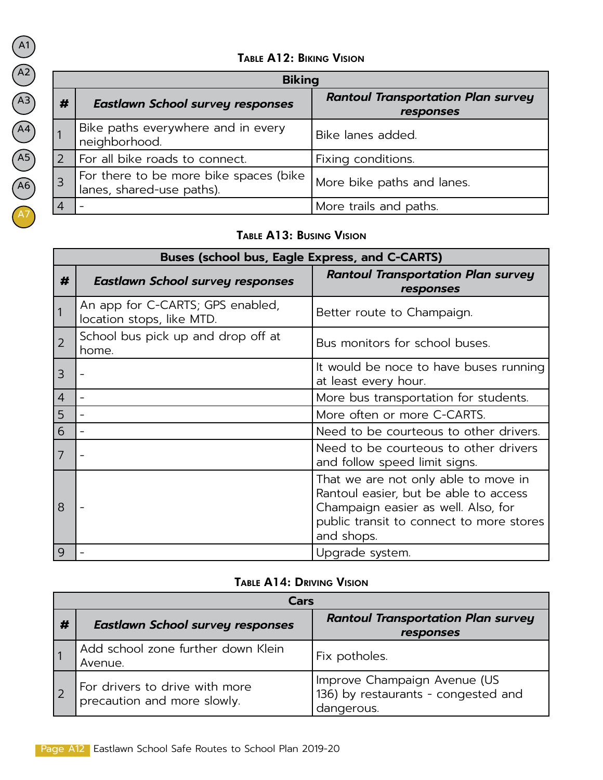## Table A12: Biking Vision

| <b>Biking</b> |                                                                     |                                                        |
|---------------|---------------------------------------------------------------------|--------------------------------------------------------|
| #             | <b>Eastlawn School survey responses</b>                             | <b>Rantoul Transportation Plan survey</b><br>responses |
|               | Bike paths everywhere and in every<br>neighborhood.                 | Bike lanes added.                                      |
| $\vert$ 2     | For all bike roads to connect.                                      | Fixing conditions.                                     |
|               | For there to be more bike spaces (bike<br>lanes, shared-use paths). | More bike paths and lanes.                             |
| 4             |                                                                     | More trails and paths.                                 |

## Table A13: Busing Vision

| Buses (school bus, Eagle Express, and C-CARTS) |                                                               |                                                                                                                                                                                |
|------------------------------------------------|---------------------------------------------------------------|--------------------------------------------------------------------------------------------------------------------------------------------------------------------------------|
| #                                              | <b>Eastlawn School survey responses</b>                       | <b>Rantoul Transportation Plan survey</b><br>responses                                                                                                                         |
|                                                | An app for C-CARTS; GPS enabled,<br>location stops, like MTD. | Better route to Champaign.                                                                                                                                                     |
|                                                | School bus pick up and drop off at<br>home.                   | Bus monitors for school buses.                                                                                                                                                 |
| 3                                              |                                                               | It would be noce to have buses running<br>at least every hour.                                                                                                                 |
| $\overline{4}$                                 |                                                               | More bus transportation for students.                                                                                                                                          |
| 5                                              |                                                               | More often or more C-CARTS.                                                                                                                                                    |
| 6                                              | $\overline{\phantom{0}}$                                      | Need to be courteous to other drivers.                                                                                                                                         |
| $\overline{7}$                                 |                                                               | Need to be courteous to other drivers<br>and follow speed limit signs.                                                                                                         |
| 8                                              |                                                               | That we are not only able to move in<br>Rantoul easier, but be able to access<br>Champaign easier as well. Also, for<br>public transit to connect to more stores<br>and shops. |
| 9                                              |                                                               | Upgrade system.                                                                                                                                                                |

## Table A14: Driving Vision

| Cars |                                                               |                                                                                   |
|------|---------------------------------------------------------------|-----------------------------------------------------------------------------------|
| #    | <b>Eastlawn School survey responses</b>                       | <b>Rantoul Transportation Plan survey</b><br>responses                            |
|      | Add school zone further down Klein<br>Avenue.                 | Fix potholes.                                                                     |
|      | For drivers to drive with more<br>precaution and more slowly. | Improve Champaign Avenue (US<br>136) by restaurants - congested and<br>dangerous. |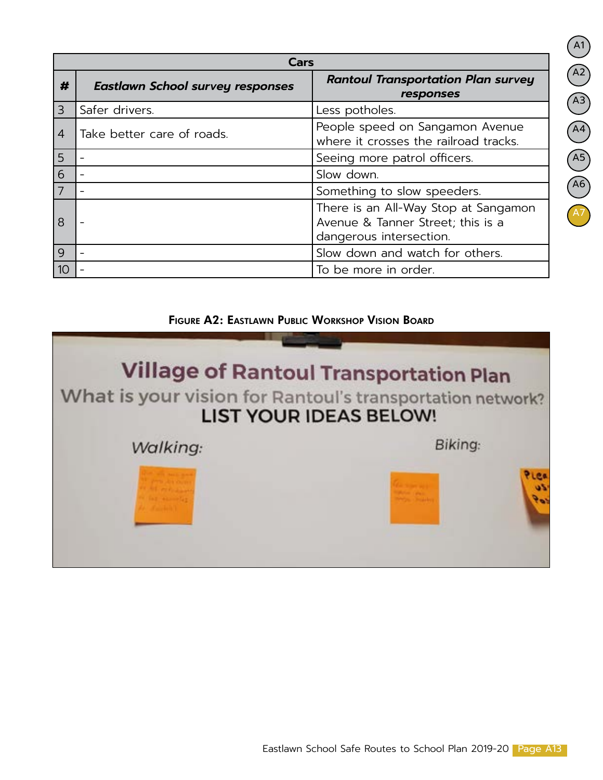|                | <b>Cars</b>                             |                                                                                                      |  |
|----------------|-----------------------------------------|------------------------------------------------------------------------------------------------------|--|
| #              | <b>Eastlawn School survey responses</b> | <b>Rantoul Transportation Plan survey</b><br>responses                                               |  |
| 3              | Safer drivers.                          | Less potholes.                                                                                       |  |
| $\overline{4}$ | Take better care of roads.              | People speed on Sangamon Avenue<br>where it crosses the railroad tracks.                             |  |
| 5              |                                         | Seeing more patrol officers.                                                                         |  |
| 6              |                                         | Slow down.                                                                                           |  |
|                |                                         | Something to slow speeders.                                                                          |  |
| 8              |                                         | There is an All-Way Stop at Sangamon<br>Avenue & Tanner Street; this is a<br>dangerous intersection. |  |
| $\mathsf{Q}$   |                                         | Slow down and watch for others.                                                                      |  |
|                |                                         | To be more in order.                                                                                 |  |

### Figure A2: Eastlawn Public Workshop Vision Board



A5

A4

A1

A2

A3

A6

A7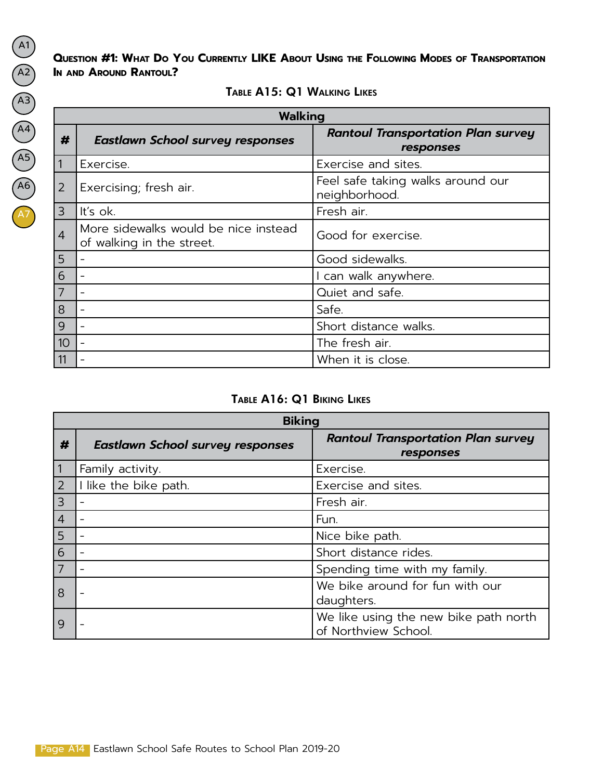#### **Question #1: What Do You Currently LIKE About Using the Following Modes of Transportation In and Around Rantoul?**

| <b>Walking</b> |                                                                   |                                                        |
|----------------|-------------------------------------------------------------------|--------------------------------------------------------|
| #              | <b>Eastlawn School survey responses</b>                           | <b>Rantoul Transportation Plan survey</b><br>responses |
| $\mathbf{1}$   | Exercise.                                                         | Exercise and sites.                                    |
| 2              | Exercising; fresh air.                                            | Feel safe taking walks around our<br>neighborhood.     |
| 3              | It's ok.                                                          | Fresh air.                                             |
| $\overline{4}$ | More sidewalks would be nice instead<br>of walking in the street. | Good for exercise.                                     |
| 5              |                                                                   | Good sidewalks.                                        |
| 6              |                                                                   | I can walk anywhere.                                   |
| $\overline{7}$ |                                                                   | Quiet and safe.                                        |
| 8              |                                                                   | Safe.                                                  |
| 9              |                                                                   | Short distance walks.                                  |
| 10             |                                                                   | The fresh air.                                         |
| 11             |                                                                   | When it is close.                                      |

## Table A15: Q1 Walking Likes

## Table A16: Q1 Biking Likes

| <b>Biking</b> |                                         |                                                               |
|---------------|-----------------------------------------|---------------------------------------------------------------|
| #             | <b>Eastlawn School survey responses</b> | <b>Rantoul Transportation Plan survey</b><br>responses        |
| $\vert$ 1     | Family activity.                        | Exercise.                                                     |
| 2             | I like the bike path.                   | Exercise and sites.                                           |
| 3             |                                         | Fresh air.                                                    |
| 4             |                                         | Fun.                                                          |
| 5             |                                         | Nice bike path.                                               |
| 6             |                                         | Short distance rides.                                         |
| 7             |                                         | Spending time with my family.                                 |
| 8             |                                         | We bike around for fun with our<br>daughters.                 |
| <u>  9</u>    |                                         | We like using the new bike path north<br>of Northview School. |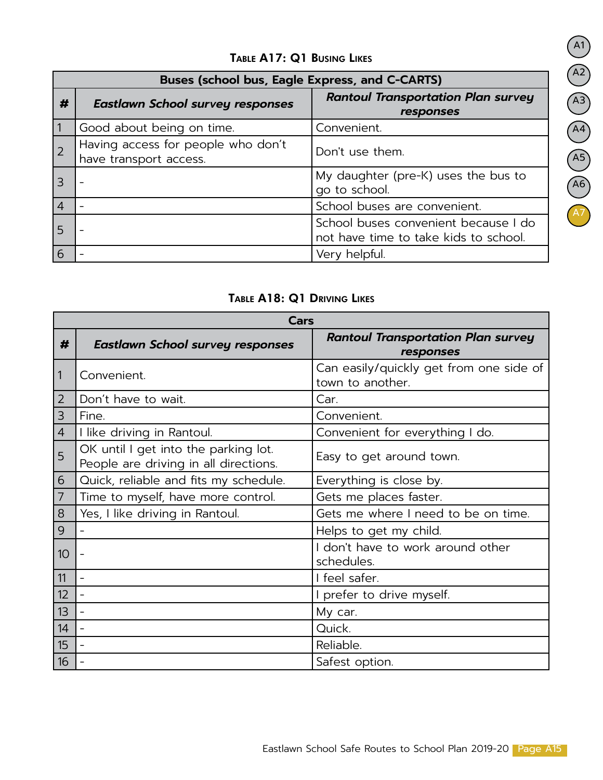## Table A17: Q1 Busing Likes

| <b>Buses (school bus, Eagle Express, and C-CARTS)</b> |                                                              |                                                                               |
|-------------------------------------------------------|--------------------------------------------------------------|-------------------------------------------------------------------------------|
| #                                                     | <b>Eastlawn School survey responses</b>                      | <b>Rantoul Transportation Plan survey</b><br>responses                        |
|                                                       | Good about being on time.                                    | Convenient.                                                                   |
|                                                       | Having access for people who don't<br>have transport access. | Don't use them.                                                               |
|                                                       |                                                              | My daughter (pre-K) uses the bus to<br>go to school.                          |
| $\overline{4}$                                        |                                                              | School buses are convenient.                                                  |
|                                                       |                                                              | School buses convenient because I do<br>not have time to take kids to school. |
| 6                                                     |                                                              | Very helpful.                                                                 |

## Table A18: Q1 Driving Likes

|                | Cars                                                                          |                                                             |  |
|----------------|-------------------------------------------------------------------------------|-------------------------------------------------------------|--|
| #              | <b>Eastlawn School survey responses</b>                                       | <b>Rantoul Transportation Plan survey</b><br>responses      |  |
| $\vert$ 1      | Convenient.                                                                   | Can easily/quickly get from one side of<br>town to another. |  |
| $\overline{2}$ | Don't have to wait.                                                           | Car.                                                        |  |
| 3              | Fine.                                                                         | Convenient.                                                 |  |
| $\overline{4}$ | I like driving in Rantoul.                                                    | Convenient for everything I do.                             |  |
| $\overline{5}$ | OK until I get into the parking lot.<br>People are driving in all directions. | Easy to get around town.                                    |  |
| 6              | Quick, reliable and fits my schedule.                                         | Everything is close by.                                     |  |
| 7              | Time to myself, have more control.                                            | Gets me places faster.                                      |  |
| 8              | Yes, I like driving in Rantoul.                                               | Gets me where I need to be on time.                         |  |
| 9              |                                                                               | Helps to get my child.                                      |  |
| 10             |                                                                               | I don't have to work around other<br>schedules.             |  |
| 11             |                                                                               | I feel safer.                                               |  |
| 12             |                                                                               | I prefer to drive myself.                                   |  |
| 13             |                                                                               | My car.                                                     |  |
| 14             | $\overline{\phantom{a}}$                                                      | Quick.                                                      |  |
| 15             |                                                                               | Reliable.                                                   |  |
| 16             |                                                                               | Safest option.                                              |  |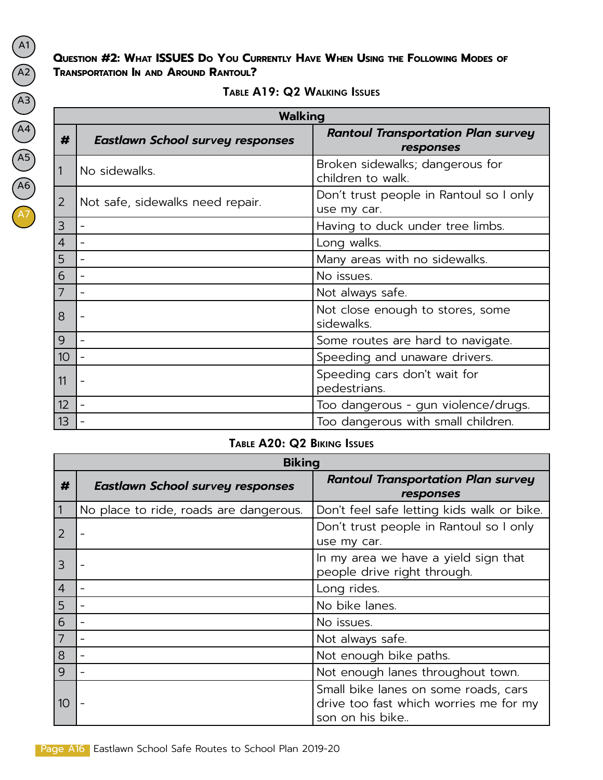#### **Question #2: What ISSUES Do You Currently Have When Using the Following Modes of Transportation In and Around Rantoul?**

| <b>Walking</b> |                                         |                                                        |
|----------------|-----------------------------------------|--------------------------------------------------------|
| #              | <b>Eastlawn School survey responses</b> | <b>Rantoul Transportation Plan survey</b><br>responses |
| 1              | No sidewalks.                           | Broken sidewalks; dangerous for<br>children to walk.   |
| $\overline{2}$ | Not safe, sidewalks need repair.        | Don't trust people in Rantoul so I only<br>use my car. |
| $\mathsf 3$    |                                         | Having to duck under tree limbs.                       |
| $\overline{4}$ |                                         | Long walks.                                            |
| 5              |                                         | Many areas with no sidewalks.                          |
| 6              |                                         | No issues.                                             |
| $\overline{7}$ |                                         | Not always safe.                                       |
| 8              |                                         | Not close enough to stores, some<br>sidewalks.         |
| 9              |                                         | Some routes are hard to navigate.                      |
| 10             |                                         | Speeding and unaware drivers.                          |
| 11             |                                         | Speeding cars don't wait for<br>pedestrians.           |
| 12             |                                         | Too dangerous - gun violence/drugs.                    |
| 13             |                                         | Too dangerous with small children.                     |

#### Table A19: Q2 Walking Issues

#### Table A20: Q2 Biking Issues

|                | <b>Biking</b>                           |                                                                                                   |  |
|----------------|-----------------------------------------|---------------------------------------------------------------------------------------------------|--|
| #              | <b>Eastlawn School survey responses</b> | <b>Rantoul Transportation Plan survey</b><br>responses                                            |  |
| $\vert$ 1      | No place to ride, roads are dangerous.  | Don't feel safe letting kids walk or bike.                                                        |  |
| 2              |                                         | Don't trust people in Rantoul so I only<br>use my car.                                            |  |
| 3              |                                         | In my area we have a yield sign that<br>people drive right through.                               |  |
| 4              |                                         | Long rides.                                                                                       |  |
| $\overline{5}$ |                                         | No bike lanes.                                                                                    |  |
| 6              |                                         | No issues.                                                                                        |  |
| 7              |                                         | Not always safe.                                                                                  |  |
| 8              |                                         | Not enough bike paths.                                                                            |  |
| <u>  9</u>     |                                         | Not enough lanes throughout town.                                                                 |  |
| 10             |                                         | Small bike lanes on some roads, cars<br>drive too fast which worries me for my<br>son on his bike |  |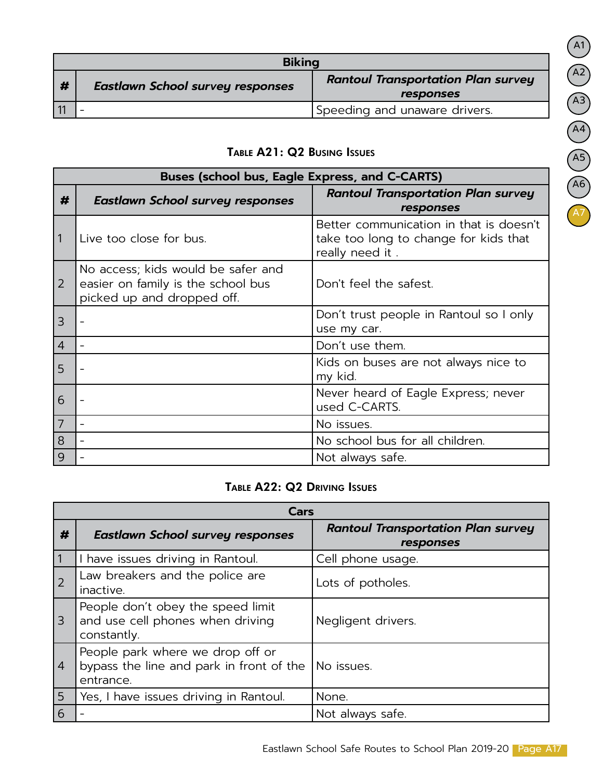| <b>Biking</b> |                                         |                                                        |  |
|---------------|-----------------------------------------|--------------------------------------------------------|--|
| #             | <b>Eastlawn School survey responses</b> | <b>Rantoul Transportation Plan survey</b><br>responses |  |
|               |                                         | Speeding and unaware drivers.                          |  |

## Table A21: Q2 Busing Issues

| Buses (school bus, Eagle Express, and C-CARTS) |                                                                                                        |                                                                                                     |  |
|------------------------------------------------|--------------------------------------------------------------------------------------------------------|-----------------------------------------------------------------------------------------------------|--|
| #                                              | <b>Eastlawn School survey responses</b>                                                                | <b>Rantoul Transportation Plan survey</b><br>responses                                              |  |
|                                                | Live too close for bus.                                                                                | Better communication in that is doesn't<br>take too long to change for kids that<br>really need it. |  |
| 2                                              | No access; kids would be safer and<br>easier on family is the school bus<br>picked up and dropped off. | Don't feel the safest.                                                                              |  |
| 3                                              |                                                                                                        | Don't trust people in Rantoul so I only<br>use my car.                                              |  |
| 4                                              |                                                                                                        | Don't use them.                                                                                     |  |
| 5                                              |                                                                                                        | Kids on buses are not always nice to<br>my kid.                                                     |  |
| 6                                              |                                                                                                        | Never heard of Eagle Express; never<br>used C-CARTS.                                                |  |
| 7                                              |                                                                                                        | No issues.                                                                                          |  |
| 8                                              |                                                                                                        | No school bus for all children.                                                                     |  |
| 9                                              |                                                                                                        | Not always safe.                                                                                    |  |

## Table A22: Q2 Driving Issues

| Cars           |                                                                                           |                                                        |  |
|----------------|-------------------------------------------------------------------------------------------|--------------------------------------------------------|--|
| #              | <b>Eastlawn School survey responses</b>                                                   | <b>Rantoul Transportation Plan survey</b><br>responses |  |
| $\vert$ 1      | I have issues driving in Rantoul.                                                         | Cell phone usage.                                      |  |
| $\overline{2}$ | Law breakers and the police are<br>inactive.                                              | Lots of potholes.                                      |  |
| l 3            | People don't obey the speed limit<br>and use cell phones when driving<br>constantly.      | Negligent drivers.                                     |  |
| 4              | People park where we drop off or<br>bypass the line and park in front of the<br>entrance. | No issues.                                             |  |
| 5              | Yes, I have issues driving in Rantoul.                                                    | None.                                                  |  |
| 6              |                                                                                           | Not always safe.                                       |  |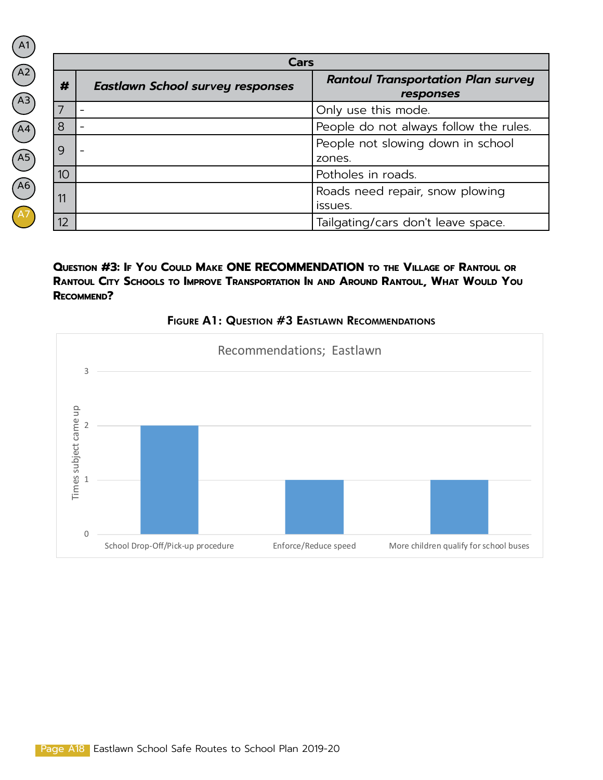| Cars |                                         |                                                        |  |
|------|-----------------------------------------|--------------------------------------------------------|--|
| #    | <b>Eastlawn School survey responses</b> | <b>Rantoul Transportation Plan survey</b><br>responses |  |
|      |                                         | Only use this mode.                                    |  |
| 8    |                                         | People do not always follow the rules.                 |  |
|      |                                         | People not slowing down in school<br>zones.            |  |
| 10   |                                         | Potholes in roads.                                     |  |
| 11   |                                         | Roads need repair, snow plowing<br>issues.             |  |
| 12   |                                         | Tailgating/cars don't leave space.                     |  |

**Question #3: If You Could Make ONE RECOMMENDATION to the Village of Rantoul or Rantoul City Schools to Improve Transportation In and Around Rantoul, What Would You Recommend?**



Figure A1: Question #3 Eastlawn Recommendations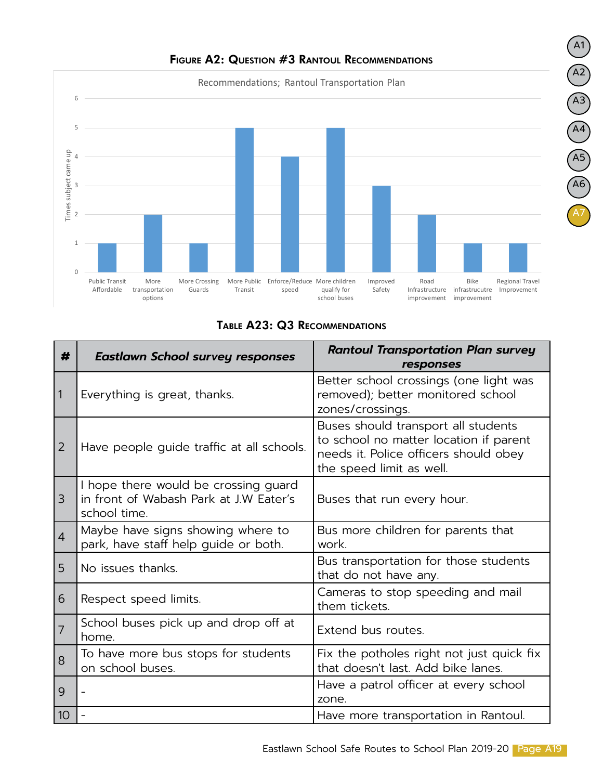

## Figure A2: Question #3 Rantoul Recommendations

## Table A23: Q3 Recommendations

| #              | <b>Eastlawn School survey responses</b>                                                                                                    | <b>Rantoul Transportation Plan survey</b><br>responses                                                                                             |  |
|----------------|--------------------------------------------------------------------------------------------------------------------------------------------|----------------------------------------------------------------------------------------------------------------------------------------------------|--|
| $\vert$ 1      | Everything is great, thanks.                                                                                                               | Better school crossings (one light was<br>removed); better monitored school<br>zones/crossings.                                                    |  |
| $\vert$ 2      | Have people guide traffic at all schools.                                                                                                  | Buses should transport all students<br>to school no matter location if parent<br>needs it. Police officers should obey<br>the speed limit as well. |  |
| $\vert$ 3      | I hope there would be crossing guard<br>in front of Wabash Park at J.W Eater's<br>school time.                                             | Buses that run every hour.                                                                                                                         |  |
| $ 4\rangle$    | Maybe have signs showing where to<br>park, have staff help guide or both.                                                                  | Bus more children for parents that<br>work.                                                                                                        |  |
| 5              | No issues thanks.                                                                                                                          | Bus transportation for those students<br>that do not have any.                                                                                     |  |
| 6              | Respect speed limits.                                                                                                                      | Cameras to stop speeding and mail<br>them tickets.                                                                                                 |  |
| $\overline{7}$ | School buses pick up and drop off at<br>home.                                                                                              | Extend bus routes.                                                                                                                                 |  |
| 8              | To have more bus stops for students<br>Fix the potholes right not just quick fix<br>that doesn't last. Add bike lanes.<br>on school buses. |                                                                                                                                                    |  |
| 9              |                                                                                                                                            | Have a patrol officer at every school<br>zone.                                                                                                     |  |
| 10             |                                                                                                                                            | Have more transportation in Rantoul.                                                                                                               |  |

A5

A4

A1

A2

A3

A6

A7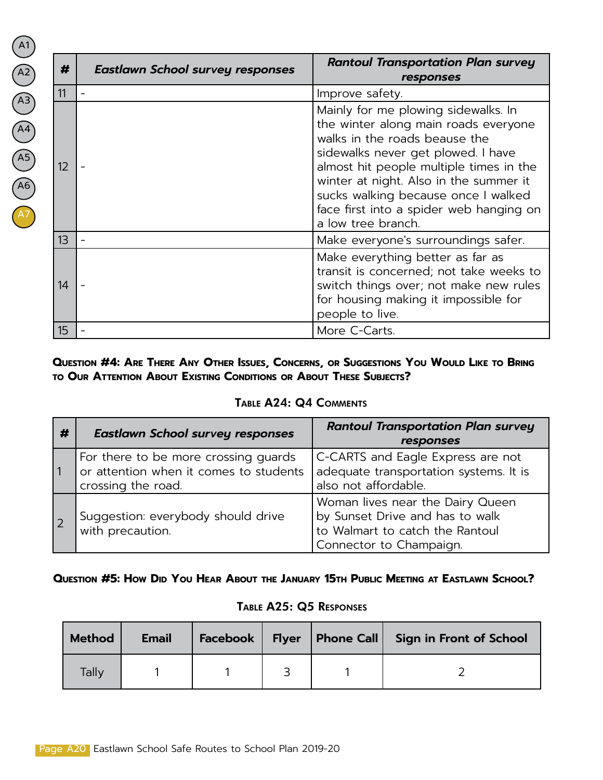| (A1)                          |
|-------------------------------|
| $\left(\overline{A2}\right)$  |
| (A3)                          |
| $\binom{A4}{}$                |
| $\binom{A5}{ }$               |
| $\left( \overline{AB}\right)$ |
| $\left(\overline{A7}\right)$  |
|                               |

| #  | <b>Eastlawn School survey responses</b> | <b>Rantoul Transportation Plan survey</b><br>responses                                                                                                                                                                                                                                                                                          |
|----|-----------------------------------------|-------------------------------------------------------------------------------------------------------------------------------------------------------------------------------------------------------------------------------------------------------------------------------------------------------------------------------------------------|
| 11 |                                         | Improve safety.                                                                                                                                                                                                                                                                                                                                 |
| 12 |                                         | Mainly for me plowing sidewalks. In<br>the winter along main roads everyone<br>walks in the roads beause the<br>sidewalks never get plowed. I have<br>almost hit people multiple times in the<br>winter at night. Also in the summer it<br>sucks walking because once I walked<br>face first into a spider web hanging on<br>a low tree branch. |
| 13 |                                         | Make everyone's surroundings safer.                                                                                                                                                                                                                                                                                                             |
| 14 |                                         | Make everything better as far as<br>transit is concerned; not take weeks to<br>switch things over; not make new rules<br>for housing making it impossible for<br>people to live.                                                                                                                                                                |
| 15 |                                         | More C-Carts.                                                                                                                                                                                                                                                                                                                                   |

#### **Question #4: Are There Any Other Issues, Concerns, or Suggestions You Would Like to Bring to Our Attention About Existing Conditions or About These Subjects?**

## Table A24: Q4 Comments

| # | <b>Eastlawn School survey responses</b>                                                              | <b>Rantoul Transportation Plan survey</b><br>responses                                                                            |  |
|---|------------------------------------------------------------------------------------------------------|-----------------------------------------------------------------------------------------------------------------------------------|--|
|   | For there to be more crossing guards<br>or attention when it comes to students<br>crossing the road. | C-CARTS and Eagle Express are not<br>adequate transportation systems. It is<br>also not affordable.                               |  |
|   | Suggestion: everybody should drive<br>with precaution.                                               | Woman lives near the Dairy Queen<br>by Sunset Drive and has to walk<br>to Walmart to catch the Rantoul<br>Connector to Champaign. |  |

**Question #5: How Did You Hear About the January 15th Public Meeting at Eastlawn School?**

#### Table A25: Q5 Responses

| <b>Method</b> | <b>Email</b> |  | Facebook   Flyer   Phone Call   Sign in Front of School |
|---------------|--------------|--|---------------------------------------------------------|
| Tally         |              |  |                                                         |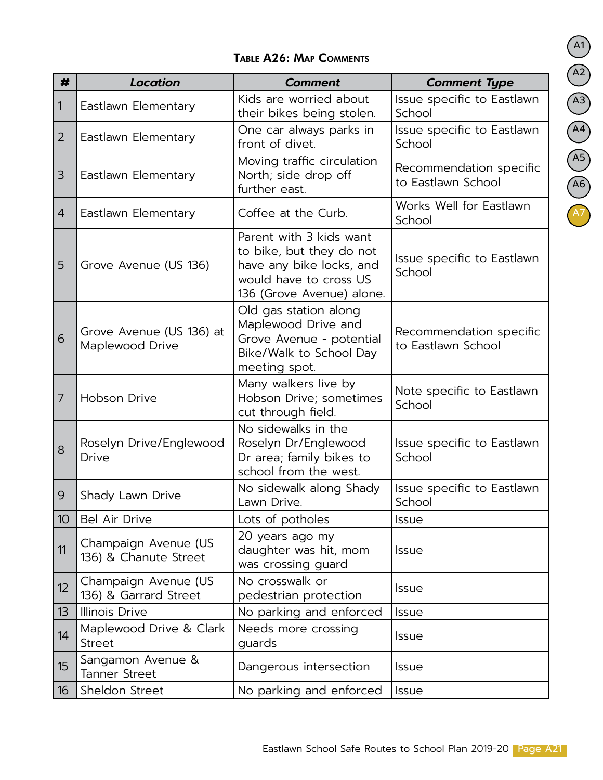## Table A26: Map Comments

| #              | <b>Location</b>                               | <b>Comment</b>                                                                                                                         | <b>Comment Type</b>                           |
|----------------|-----------------------------------------------|----------------------------------------------------------------------------------------------------------------------------------------|-----------------------------------------------|
| $\mathbf{1}$   | Eastlawn Elementary                           | Kids are worried about<br>their bikes being stolen.                                                                                    | Issue specific to Eastlawn<br>School          |
| $\overline{2}$ | Eastlawn Elementary                           | One car always parks in<br>front of divet.                                                                                             | Issue specific to Eastlawn<br>School          |
| 3              | Eastlawn Elementary                           | Moving traffic circulation<br>North; side drop off<br>further east.                                                                    | Recommendation specific<br>to Eastlawn School |
| $\overline{4}$ | Eastlawn Elementary                           | Coffee at the Curb.                                                                                                                    | Works Well for Eastlawn<br>School             |
| 5              | Grove Avenue (US 136)                         | Parent with 3 kids want<br>to bike, but they do not<br>have any bike locks, and<br>would have to cross US<br>136 (Grove Avenue) alone. | Issue specific to Eastlawn<br>School          |
| 6              | Grove Avenue (US 136) at<br>Maplewood Drive   | Old gas station along<br>Maplewood Drive and<br>Grove Avenue - potential<br>Bike/Walk to School Day<br>meeting spot.                   | Recommendation specific<br>to Eastlawn School |
| 7              | <b>Hobson Drive</b>                           | Many walkers live by<br>Hobson Drive; sometimes<br>cut through field.                                                                  | Note specific to Eastlawn<br>School           |
| 8              | Roselyn Drive/Englewood<br><b>Drive</b>       | No sidewalks in the<br>Roselyn Dr/Englewood<br>Dr area; family bikes to<br>school from the west.                                       | Issue specific to Eastlawn<br>School          |
| 9              | Shady Lawn Drive                              | No sidewalk along Shady<br>Lawn Drive.                                                                                                 | Issue specific to Eastlawn<br>School          |
| 10             | <b>Bel Air Drive</b>                          | Lots of potholes                                                                                                                       | <b>Issue</b>                                  |
| 11             | Champaign Avenue (US<br>136) & Chanute Street | 20 years ago my<br>daughter was hit, mom<br>was crossing guard                                                                         | <b>Issue</b>                                  |
| 12             | Champaign Avenue (US<br>136) & Garrard Street | No crosswalk or<br>pedestrian protection                                                                                               | <b>Issue</b>                                  |
| 13             | <b>Illinois Drive</b>                         | No parking and enforced                                                                                                                | <b>Issue</b>                                  |
| 14             | Maplewood Drive & Clark<br><b>Street</b>      | Needs more crossing<br>quards                                                                                                          | <b>Issue</b>                                  |
| 15             | Sangamon Avenue &<br>Tanner Street            | Dangerous intersection                                                                                                                 | <b>Issue</b>                                  |
| 16             | Sheldon Street                                | No parking and enforced                                                                                                                | <b>Issue</b>                                  |